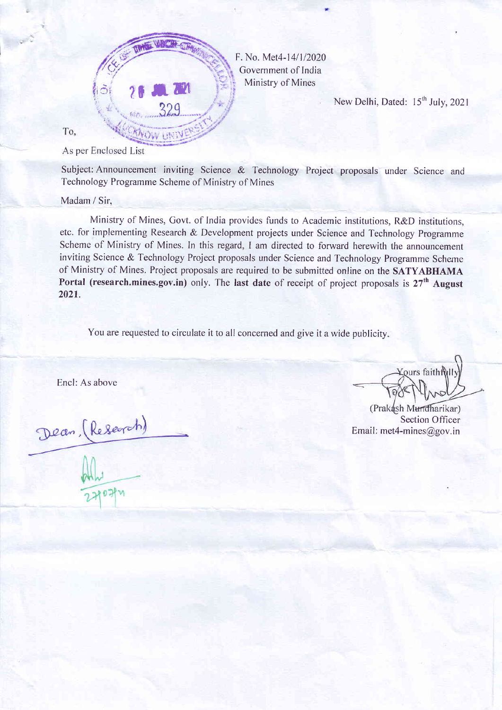

F. No. Met4-14/1/2020 Government of India Ministry of Mines

New Delhi, Dated: 15<sup>th</sup> July, 2021

To,

As per Enclosed List

Subject: Announcement inviting Science & Technology Project proposals under Science and Technology Programme Scheme of Ministry of Mines

Madam / Sir,

Ministry of Mines, Govt. of India provides funds to Academic institutions, R&D institutions, etc. for implementing Research & Development proiects under Science and Technology Programme Scheme of Ministry of Mines. In this regard, I am directed to forward herewith the announcement inviting Science & Technology Project proposals under Science and Technology Programme Scheme of Ministry of Mines. Project proposals are required to be submitted online on the SATYABHAMA Portal (research.mines.gov.in) only. The last date of receipt of project proposals is  $27<sup>th</sup>$  August 2021.

You are requested to circulate it to all concerned and give it a wide publicity.

Encl: As above

Dean, (Research)

Kours faithÑII

(Prakash Mundharikar) Section Officer Email: met4-mines@gov.in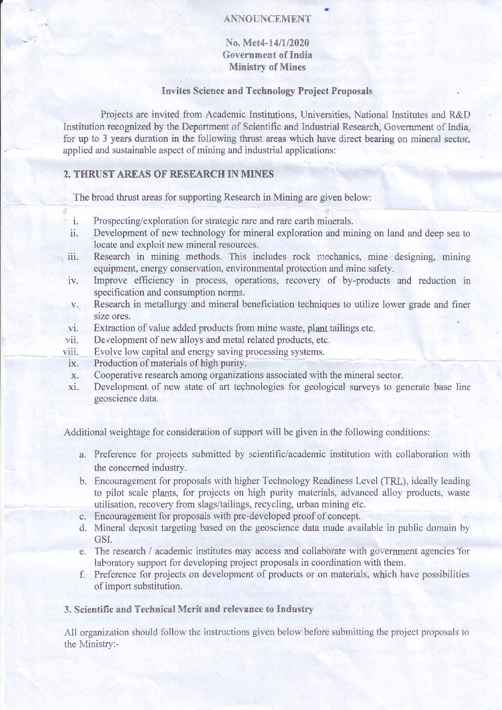## ANNOUNCEMENT

No. Met4-14/1/2020 Government of India **Ministry of Mines** 

## **Invites Science and Technology Project Proposals**

Projects are invited from Academic Institutions, Universities, National Institutes and R&D Institution recognized by the Department of Scientific and Industrial Research, Government of India. for up to 3 years duration in the following thrust areas which have direct bearing on mineral sector. applied and sustainable aspect of mining and industrial applications:

## 2. THRUST AREAS OF RESEARCH IN MINES

ø

The broad thrust areas for supporting Research in Mining are given below:

- Prospecting/exploration for strategic rare and rare earth minerals.  $\mathbf{i}$ .
- Development of new technology for mineral exploration and mining on land and deep sea to  $ii.$ locate and exploit new mineral resources.
- Research in mining methods. This includes rock mechanics, mine designing, mining  $\sim$  iii. equipment, energy conservation, environmental protection and mine safety.
	- Improve efficiency in process, operations, recovery of by-products and reduction in iv. specification and consumption norms.
	- Research in metallurgy and mineral beneficiation techniques to utilize lower grade and finer  $V_{\star}$ size ores.
	- Extraction of value added products from mine waste, plant tailings etc. vi.
	- Development of new alloys and metal related products, etc. vii.
	- Evolve low capital and energy saving processing systems. viii.
	- Production of materials of high purity. ix.
	- Cooperative research among organizations associated with the mineral sector.  $\mathbf{x}$ .
	- Development of new state of art technologies for geological surveys to generate base line xi. geoscience data.

Additional weightage for consideration of support will be given in the following conditions:

- a. Preference for projects submitted by scientific/academic institution with collaboration with the concerned industry.
- b. Encouragement for proposals with higher Technology Readiness Level (TRL), ideally leading to pilot scale plants, for projects on high purity materials, advanced alloy products, waste utilisation, recovery from slags/tailings, recycling, urban mining etc.
- c. Encouragement for proposals with pre-developed proof of concept.
- d. Mineral deposit targeting based on the geoscience data made available in public domain by GSI.
- e. The research / academic institutes may access and collaborate with government agencies for laboratory support for developing project proposals in coordination with them.
- f. Preference for projects on development of products or on materials, which have possibilities of import substitution.

## 3. Scientific and Technical Merit and relevance to Industry

All organization should follow the instructions given below before submitting the project proposals to the Ministry:-